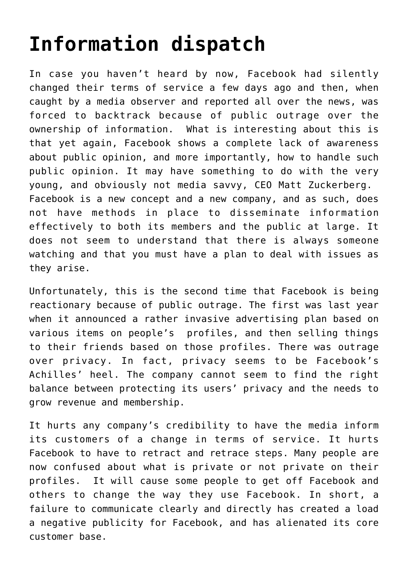## **[Information dispatch](https://deborahbrody.com/2009/02/information-dispatch/)**

In case you haven't heard by now, Facebook had silently changed their terms of service a few days ago and then, when caught by a media observer and reported all over the news, was forced to backtrack because of public outrage over the ownership of information. What is interesting about this is that yet again, Facebook shows a complete lack of awareness about public opinion, and more importantly, how to handle such public opinion. It may have something to do with the very young, and obviously not media savvy, CEO Matt Zuckerberg. Facebook is a new concept and a new company, and as such, does not have methods in place to disseminate information effectively to both its members and the public at large. It does not seem to understand that there is always someone watching and that you must have a plan to deal with issues as they arise.

Unfortunately, this is the second time that Facebook is being reactionary because of public outrage. The first was last year when it announced a rather invasive advertising plan based on various items on people's profiles, and then selling things to their friends based on those profiles. There was outrage over privacy. In fact, privacy seems to be Facebook's Achilles' heel. The company cannot seem to find the right balance between protecting its users' privacy and the needs to grow revenue and membership.

It hurts any company's credibility to have the media inform its customers of a change in terms of service. It hurts Facebook to have to retract and retrace steps. Many people are now confused about what is private or not private on their profiles. It will cause some people to get off Facebook and others to change the way they use Facebook. In short, a failure to communicate clearly and directly has created a load a negative publicity for Facebook, and has alienated its core customer base.